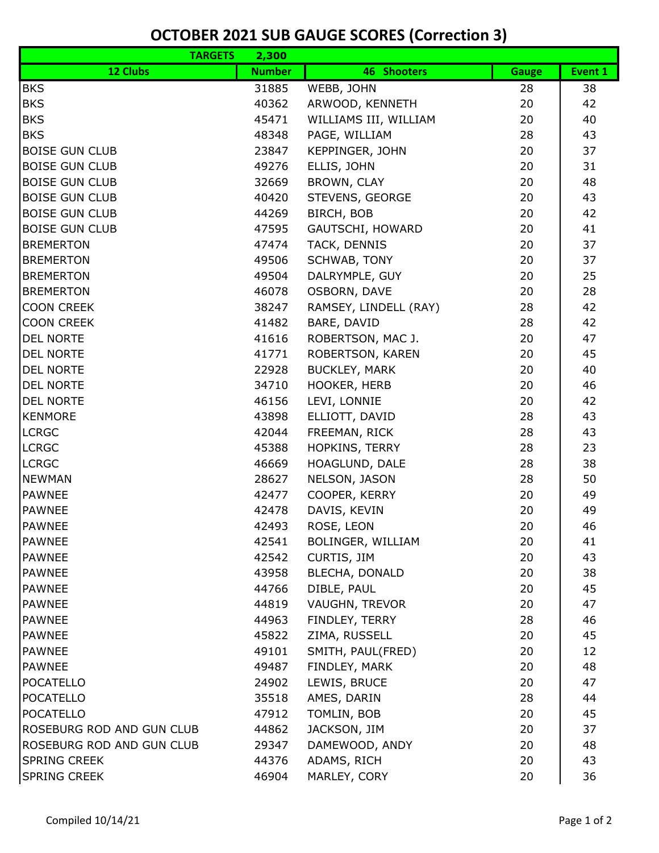## **OCTOBER 2021 SUB GAUGE SCORES (Correction 3)**

| <b>TARGETS</b>                | 2,300          |                                |              |          |
|-------------------------------|----------------|--------------------------------|--------------|----------|
| 12 Clubs                      | <b>Number</b>  | 46 Shooters                    | <b>Gauge</b> | Event 1  |
| <b>BKS</b>                    | 31885          | WEBB, JOHN                     | 28           | 38       |
| <b>BKS</b>                    | 40362          | ARWOOD, KENNETH                | 20           | 42       |
| <b>BKS</b>                    | 45471          | WILLIAMS III, WILLIAM          | 20           | 40       |
| <b>BKS</b>                    | 48348          | PAGE, WILLIAM                  | 28           | 43       |
| <b>BOISE GUN CLUB</b>         | 23847          | <b>KEPPINGER, JOHN</b>         | 20           | 37       |
| <b>BOISE GUN CLUB</b>         | 49276          | ELLIS, JOHN                    | 20           | 31       |
| <b>BOISE GUN CLUB</b>         | 32669          | BROWN, CLAY                    | 20           | 48       |
| <b>BOISE GUN CLUB</b>         | 40420          | STEVENS, GEORGE                | 20           | 43       |
| <b>BOISE GUN CLUB</b>         | 44269          | BIRCH, BOB                     | 20           | 42       |
| <b>BOISE GUN CLUB</b>         | 47595          | GAUTSCHI, HOWARD               | 20           | 41       |
| <b>BREMERTON</b>              | 47474          | TACK, DENNIS                   | 20           | 37       |
| <b>BREMERTON</b>              | 49506          | SCHWAB, TONY                   | 20           | 37       |
| <b>BREMERTON</b>              | 49504          | DALRYMPLE, GUY                 | 20           | 25       |
| <b>BREMERTON</b>              | 46078          | OSBORN, DAVE                   | 20           | 28       |
| <b>COON CREEK</b>             | 38247          | RAMSEY, LINDELL (RAY)          | 28           | 42       |
| <b>COON CREEK</b>             | 41482          | BARE, DAVID                    | 28           | 42       |
| <b>DEL NORTE</b>              | 41616          | ROBERTSON, MAC J.              | 20           | 47       |
| <b>DEL NORTE</b>              | 41771          | ROBERTSON, KAREN               | 20           | 45       |
| DEL NORTE                     | 22928          | <b>BUCKLEY, MARK</b>           | 20           | 40       |
| <b>DEL NORTE</b>              | 34710          | HOOKER, HERB                   | 20           | 46       |
| <b>DEL NORTE</b>              | 46156          | LEVI, LONNIE                   | 20           | 42       |
| <b>KENMORE</b>                | 43898          | ELLIOTT, DAVID                 | 28           | 43       |
| <b>LCRGC</b>                  | 42044          | FREEMAN, RICK                  | 28           | 43       |
| <b>LCRGC</b>                  | 45388          | HOPKINS, TERRY                 | 28           | 23<br>38 |
| <b>LCRGC</b><br><b>NEWMAN</b> | 46669<br>28627 | HOAGLUND, DALE                 | 28<br>28     | 50       |
| <b>PAWNEE</b>                 | 42477          | NELSON, JASON<br>COOPER, KERRY | 20           | 49       |
| <b>PAWNEE</b>                 | 42478          | DAVIS, KEVIN                   | 20           | 49       |
| <b>PAWNEE</b>                 | 42493          | ROSE, LEON                     | 20           | 46       |
| <b>PAWNEE</b>                 | 42541          | BOLINGER, WILLIAM              | 20           | 41       |
| <b>PAWNEE</b>                 | 42542          | CURTIS, JIM                    | 20           | 43       |
| <b>PAWNEE</b>                 | 43958          | BLECHA, DONALD                 | 20           | 38       |
| <b>PAWNEE</b>                 | 44766          | DIBLE, PAUL                    | 20           | 45       |
| <b>PAWNEE</b>                 | 44819          | VAUGHN, TREVOR                 | 20           | 47       |
| <b>PAWNEE</b>                 | 44963          | FINDLEY, TERRY                 | 28           | 46       |
| <b>PAWNEE</b>                 | 45822          | ZIMA, RUSSELL                  | 20           | 45       |
| <b>PAWNEE</b>                 | 49101          | SMITH, PAUL(FRED)              | 20           | 12       |
| <b>PAWNEE</b>                 | 49487          | FINDLEY, MARK                  | 20           | 48       |
| <b>POCATELLO</b>              | 24902          | LEWIS, BRUCE                   | 20           | 47       |
| <b>POCATELLO</b>              | 35518          | AMES, DARIN                    | 28           | 44       |
| <b>POCATELLO</b>              | 47912          | TOMLIN, BOB                    | 20           | 45       |
| ROSEBURG ROD AND GUN CLUB     | 44862          | JACKSON, JIM                   | 20           | 37       |
| ROSEBURG ROD AND GUN CLUB     | 29347          | DAMEWOOD, ANDY                 | 20           | 48       |
| <b>SPRING CREEK</b>           | 44376          | ADAMS, RICH                    | 20           | 43       |
| <b>SPRING CREEK</b>           | 46904          | MARLEY, CORY                   | 20           | 36       |